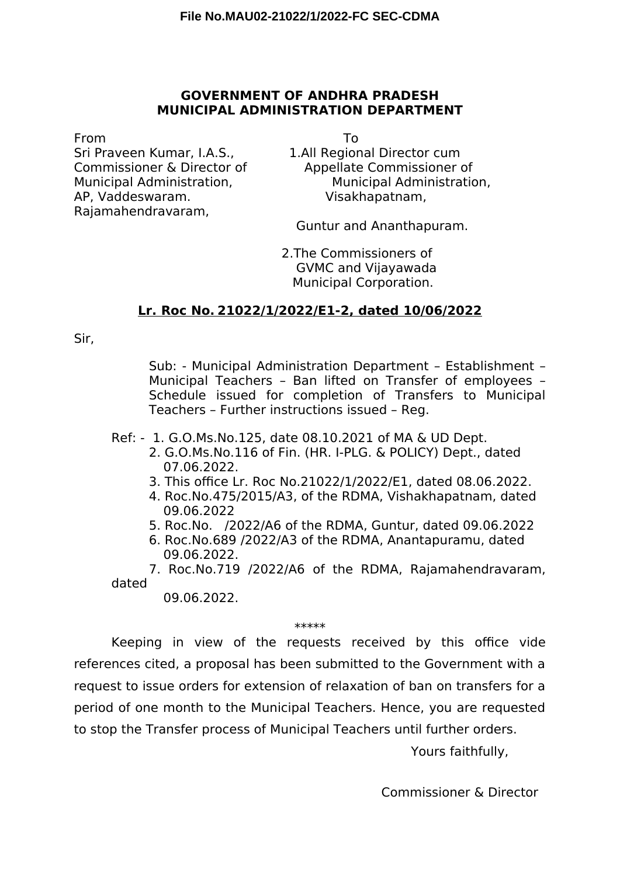## **GOVERNMENT OF ANDHRA PRADESH MUNICIPAL ADMINISTRATION DEPARTMENT**

From To

Sri Praveen Kumar, I.A.S., 1.All Regional Director cum AP, Vaddeswaram. Visakhapatnam, Rajamahendravaram,

Commissioner & Director of Appellate Commissioner of Municipal Administration, Municipal Administration,

Guntur and Ananthapuram.

2.The Commissioners of GVMC and Vijayawada Municipal Corporation.

## **Lr. Roc No. 21022/1/2022/E1-2, dated 10/06/2022**

Sir,

Sub: - Municipal Administration Department – Establishment – Municipal Teachers – Ban lifted on Transfer of employees – Schedule issued for completion of Transfers to Municipal Teachers – Further instructions issued – Reg.

Ref: - 1. G.O.Ms.No.125, date 08.10.2021 of MA & UD Dept.

- 2. G.O.Ms.No.116 of Fin. (HR. I-PLG. & POLICY) Dept., dated 07.06.2022.
- 3. This office Lr. Roc No.21022/1/2022/E1, dated 08.06.2022.
- 4. Roc.No.475/2015/A3, of the RDMA, Vishakhapatnam, dated 09.06.2022
- 5. Roc.No. /2022/A6 of the RDMA, Guntur, dated 09.06.2022
- 6. Roc.No.689 /2022/A3 of the RDMA, Anantapuramu, dated 09.06.2022.

7. Roc.No.719 /2022/A6 of the RDMA, Rajamahendravaram, dated

09.06.2022.

## \*\*\*\*\*

Keeping in view of the requests received by this office vide references cited, a proposal has been submitted to the Government with a request to issue orders for extension of relaxation of ban on transfers for a period of one month to the Municipal Teachers. Hence, you are requested to stop the Transfer process of Municipal Teachers until further orders.

Yours faithfully,

Commissioner & Director